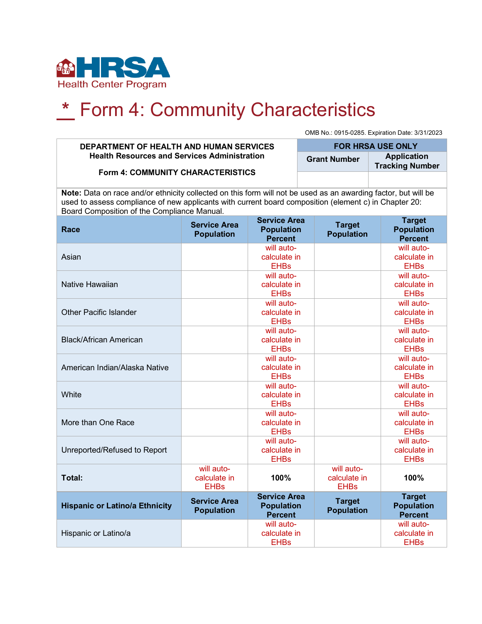

# **\*** Form 4: Community Characteristics

OMB No.: 0915-0285. Expiration Date: 3/31/2023

#### **DEPARTMENT OF HEALTH AND HUMAN SERVICES Health Resources and Services Administration**

**Form 4: COMMUNITY CHARACTERISTICS**

**FOR HRSA USE ONLY Grant Number Application Tracking Number**

**Note:** Data on race and/or ethnicity collected on this form will not be used as an awarding factor, but will be used to assess compliance of new applicants with current board composition (element c) in Chapter 20: Board Composition of the Compliance Manual.

| Race                                  | <b>Service Area</b><br><b>Population</b>  | <b>Service Area</b><br><b>Population</b><br><b>Percent</b> | <b>Target</b><br><b>Population</b>        | <b>Target</b><br><b>Population</b><br><b>Percent</b> |
|---------------------------------------|-------------------------------------------|------------------------------------------------------------|-------------------------------------------|------------------------------------------------------|
| Asian                                 |                                           | will auto-<br>calculate in<br><b>EHBs</b>                  |                                           | will auto-<br>calculate in<br><b>EHBs</b>            |
| Native Hawaiian                       |                                           | will auto-<br>calculate in<br><b>EHBs</b>                  |                                           | will auto-<br>calculate in<br><b>EHBs</b>            |
| <b>Other Pacific Islander</b>         |                                           | will auto-<br>calculate in<br><b>EHBs</b>                  |                                           | will auto-<br>calculate in<br><b>EHBs</b>            |
| <b>Black/African American</b>         |                                           | will auto-<br>calculate in<br><b>EHBs</b>                  |                                           | will auto-<br>calculate in<br><b>EHBs</b>            |
| American Indian/Alaska Native         |                                           | will auto-<br>calculate in<br><b>EHBs</b>                  |                                           | will auto-<br>calculate in<br><b>EHBs</b>            |
| White                                 |                                           | will auto-<br>calculate in<br><b>EHBs</b>                  |                                           | will auto-<br>calculate in<br><b>EHBs</b>            |
| More than One Race                    |                                           | will auto-<br>calculate in<br><b>EHBs</b>                  |                                           | will auto-<br>calculate in<br><b>EHBs</b>            |
| Unreported/Refused to Report          |                                           | will auto-<br>calculate in<br><b>EHBs</b>                  |                                           | will auto-<br>calculate in<br><b>EHBs</b>            |
| Total:                                | will auto-<br>calculate in<br><b>EHBs</b> | 100%                                                       | will auto-<br>calculate in<br><b>EHBs</b> | 100%                                                 |
| <b>Hispanic or Latino/a Ethnicity</b> | <b>Service Area</b><br><b>Population</b>  | <b>Service Area</b><br><b>Population</b><br><b>Percent</b> | <b>Target</b><br><b>Population</b>        | <b>Target</b><br><b>Population</b><br><b>Percent</b> |
| Hispanic or Latino/a                  |                                           | will auto-<br>calculate in<br><b>EHBs</b>                  |                                           | will auto-<br>calculate in<br><b>EHBs</b>            |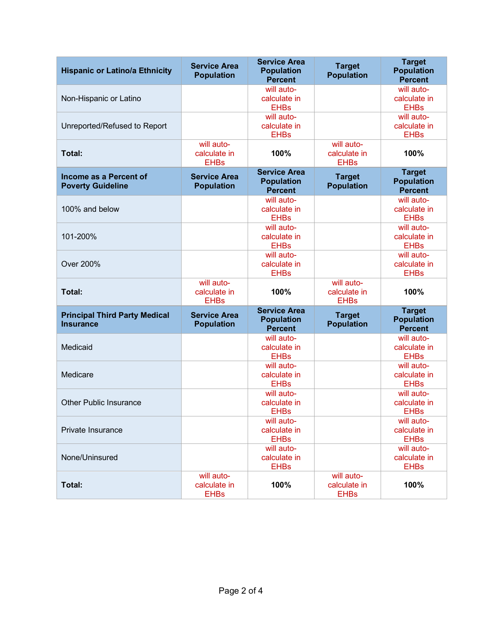| <b>Hispanic or Latino/a Ethnicity</b>                    | <b>Service Area</b><br><b>Population</b>  | <b>Service Area</b><br><b>Population</b><br><b>Percent</b> | <b>Target</b><br><b>Population</b>        | <b>Target</b><br><b>Population</b><br><b>Percent</b> |
|----------------------------------------------------------|-------------------------------------------|------------------------------------------------------------|-------------------------------------------|------------------------------------------------------|
| Non-Hispanic or Latino                                   |                                           | will auto-<br>calculate in<br><b>EHBs</b>                  |                                           | will auto-<br>calculate in<br><b>EHBs</b>            |
| Unreported/Refused to Report                             |                                           | will auto-<br>calculate in<br><b>EHBs</b>                  |                                           | will auto-<br>calculate in<br><b>EHBs</b>            |
| Total:                                                   | will auto-<br>calculate in<br><b>EHBs</b> | 100%                                                       | will auto-<br>calculate in<br><b>EHBs</b> | 100%                                                 |
| Income as a Percent of<br><b>Poverty Guideline</b>       | <b>Service Area</b><br><b>Population</b>  | <b>Service Area</b><br><b>Population</b><br><b>Percent</b> | <b>Target</b><br><b>Population</b>        | <b>Target</b><br><b>Population</b><br><b>Percent</b> |
| 100% and below                                           |                                           | will auto-<br>calculate in<br><b>EHBs</b>                  |                                           | will auto-<br>calculate in<br><b>EHBs</b>            |
| 101-200%                                                 |                                           | will auto-<br>calculate in<br><b>EHBs</b>                  |                                           | will auto-<br>calculate in<br><b>EHBs</b>            |
| <b>Over 200%</b>                                         |                                           | will auto-<br>calculate in<br><b>EHBs</b>                  |                                           | will auto-<br>calculate in<br><b>EHBs</b>            |
| Total:                                                   | will auto-<br>calculate in<br><b>EHBs</b> | 100%                                                       | will auto-<br>calculate in<br><b>EHBs</b> | 100%                                                 |
| <b>Principal Third Party Medical</b><br><b>Insurance</b> | <b>Service Area</b><br><b>Population</b>  | <b>Service Area</b><br><b>Population</b><br><b>Percent</b> | <b>Target</b><br><b>Population</b>        | <b>Target</b><br><b>Population</b><br><b>Percent</b> |
| Medicaid                                                 |                                           | will auto-<br>calculate in<br><b>EHBs</b>                  |                                           | will auto-<br>calculate in<br><b>EHBs</b>            |
| Medicare                                                 |                                           | will auto-<br>calculate in<br><b>EHBs</b>                  |                                           | will auto-<br>calculate in<br><b>EHBs</b>            |
| <b>Other Public Insurance</b>                            |                                           | will auto-<br>calculate in<br>EHBs                         |                                           | will auto-<br>calculate in<br><b>EHBs</b>            |
| Private Insurance                                        |                                           | will auto-<br>calculate in<br><b>EHBs</b>                  |                                           | will auto-<br>calculate in<br><b>EHBs</b>            |
| None/Uninsured                                           |                                           | will auto-<br>calculate in<br><b>EHBs</b>                  |                                           | will auto-<br>calculate in<br><b>EHBs</b>            |
| Total:                                                   | will auto-<br>calculate in<br><b>EHBs</b> | 100%                                                       | will auto-<br>calculate in<br><b>EHBs</b> | 100%                                                 |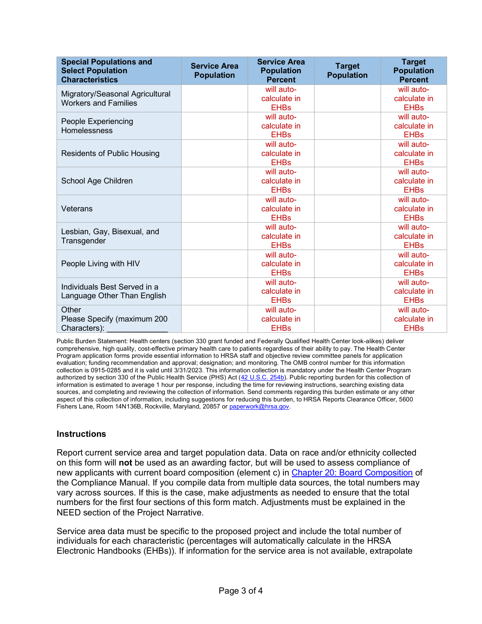| <b>Special Populations and</b><br><b>Select Population</b><br><b>Characteristics</b> | <b>Service Area</b><br><b>Population</b> | <b>Service Area</b><br><b>Population</b><br><b>Percent</b> | <b>Target</b><br><b>Population</b> | <b>Target</b><br><b>Population</b><br><b>Percent</b> |
|--------------------------------------------------------------------------------------|------------------------------------------|------------------------------------------------------------|------------------------------------|------------------------------------------------------|
| Migratory/Seasonal Agricultural<br><b>Workers and Families</b>                       |                                          | will auto-<br>calculate in<br><b>EHBs</b>                  |                                    | will auto-<br>calculate in<br><b>EHBs</b>            |
| People Experiencing<br><b>Homelessness</b>                                           |                                          | will auto-<br>calculate in<br><b>EHBs</b>                  |                                    | will auto-<br>calculate in<br><b>EHBs</b>            |
| <b>Residents of Public Housing</b>                                                   |                                          | will auto-<br>calculate in<br><b>EHBs</b>                  |                                    | will auto-<br>calculate in<br><b>EHBs</b>            |
| School Age Children                                                                  |                                          | will auto-<br>calculate in<br><b>EHBs</b>                  |                                    | will auto-<br>calculate in<br><b>EHBs</b>            |
| Veterans                                                                             |                                          | will auto-<br>calculate in<br><b>EHBs</b>                  |                                    | will auto-<br>calculate in<br><b>EHBs</b>            |
| Lesbian, Gay, Bisexual, and<br>Transgender                                           |                                          | will auto-<br>calculate in<br><b>EHBs</b>                  |                                    | will auto-<br>calculate in<br><b>EHBs</b>            |
| People Living with HIV                                                               |                                          | will auto-<br>calculate in<br><b>EHBs</b>                  |                                    | will auto-<br>calculate in<br><b>EHBs</b>            |
| Individuals Best Served in a<br>Language Other Than English                          |                                          | will auto-<br>calculate in<br><b>EHBs</b>                  |                                    | will auto-<br>calculate in<br><b>EHBs</b>            |
| Other<br>Please Specify (maximum 200<br>Characters):                                 |                                          | will auto-<br>calculate in<br><b>EHBs</b>                  |                                    | will auto-<br>calculate in<br><b>EHBs</b>            |

Public Burden Statement: Health centers (section 330 grant funded and Federally Qualified Health Center look-alikes) deliver comprehensive, high quality, cost-effective primary health care to patients regardless of their ability to pay. The Health Center Program application forms provide essential information to HRSA staff and objective review committee panels for application evaluation; funding recommendation and approval; designation; and monitoring. The OMB control number for this information collection is 0915-0285 and it is valid until 3/31/2023. This information collection is mandatory under the Health Center Program authorized by section 330 of the Public Health Service (PHS) Act [\(42 U.S.C. 254b\)](http://uscode.house.gov/view.xhtml?req=granuleid:USC-prelim-title42-section254b&num=0&edition=prelim). Public reporting burden for this collection of information is estimated to average 1 hour per response, including the time for reviewing instructions, searching existing data sources, and completing and reviewing the collection of information. Send comments regarding this burden estimate or any other aspect of this collection of information, including suggestions for reducing this burden, to HRSA Reports Clearance Officer, 5600 Fishers Lane, Room 14N136B, Rockville, Maryland, 20857 o[r paperwork@hrsa.gov.](mailto:paperwork@hrsa.gov)

## **Instructions**

Report current service area and target population data. Data on race and/or ethnicity collected on this form will **not** be used as an awarding factor, but will be used to assess compliance of new applicants with current board composition (element c) in [Chapter 20: Board Composition](https://bphc.hrsa.gov/programrequirements/compliancemanual/chapter-20.html) of the Compliance Manual. If you compile data from multiple data sources, the total numbers may vary across sources. If this is the case, make adjustments as needed to ensure that the total numbers for the first four sections of this form match. Adjustments must be explained in the NEED section of the Project Narrative.

Service area data must be specific to the proposed project and include the total number of individuals for each characteristic (percentages will automatically calculate in the HRSA Electronic Handbooks (EHBs)). If information for the service area is not available, extrapolate